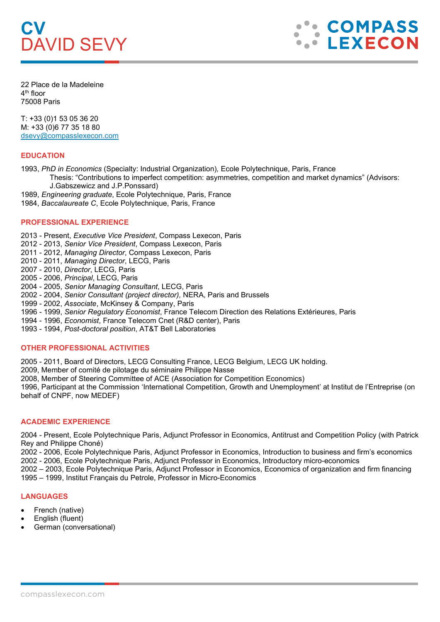# **CV** DAVID SEVY



22 Place de la Madeleine 4th floor 75008 Paris

T: +33 (0)1 53 05 36 20 M: +33 (0)6 77 35 18 80 [dsevy@compasslexecon.com](mailto:dsevy@compasslexecon.com) 

# **EDUCATION**

1993, *PhD in Economics* (Specialty: Industrial Organization)*,* Ecole Polytechnique, Paris, France

Thesis: "Contributions to imperfect competition: asymmetries, competition and market dynamics" (Advisors: J.Gabszewicz and J.P.Ponssard)

- 1989, *Engineering graduate*, Ecole Polytechnique, Paris, France
- 1984, *Baccalaureate C*, Ecole Polytechnique, Paris, France

# **PROFESSIONAL EXPERIENCE**

2013 - Present, *Executive Vice President*, Compass Lexecon, Paris

- 2012 2013, *Senior Vice President*, Compass Lexecon, Paris
- 2011 2012, *Managing Director*, Compass Lexecon, Paris
- 2010 2011, *Managing Director*, LECG, Paris
- 2007 2010, *Director*, LECG, Paris
- 2005 2006, *Principal*, LECG, Paris
- 2004 2005, *Senior Managing Consultant*, LECG, Paris
- 2002 2004, *Senior Consultant (project director),* NERA, Paris and Brussels
- 1999 2002, *Associate*, McKinsey & Company, Paris
- 1996 1999, *Senior Regulatory Economist*, France Telecom Direction des Relations Extérieures, Paris
- 1994 1996, *Economist*, France Telecom Cnet (R&D center), Paris
- 1993 1994, *Post-doctoral position*, AT&T Bell Laboratories

## **OTHER PROFESSIONAL ACTIVITIES**

2005 - 2011, Board of Directors, LECG Consulting France, LECG Belgium, LECG UK holding.

2009, Member of comité de pilotage du séminaire Philippe Nasse

2008, Member of Steering Committee of ACE (Association for Competition Economics)

1996, Participant at the Commission 'International Competition, Growth and Unemployment' at Institut de l'Entreprise (on behalf of CNPF, now MEDEF)

## **ACADEMIC EXPERIENCE**

2004 - Present, Ecole Polytechnique Paris, Adjunct Professor in Economics, Antitrust and Competition Policy (with Patrick Rey and Philippe Choné)

2002 - 2006, Ecole Polytechnique Paris, Adjunct Professor in Economics, Introduction to business and firm's economics

2002 - 2006, Ecole Polytechnique Paris, Adjunct Professor in Economics, Introductory micro-economics

2002 – 2003, Ecole Polytechnique Paris, Adjunct Professor in Economics, Economics of organization and firm financing 1995 – 1999, Institut Français du Petrole, Professor in Micro-Economics

## **LANGUAGES**

- French (native)
- English (fluent)
- German (conversational)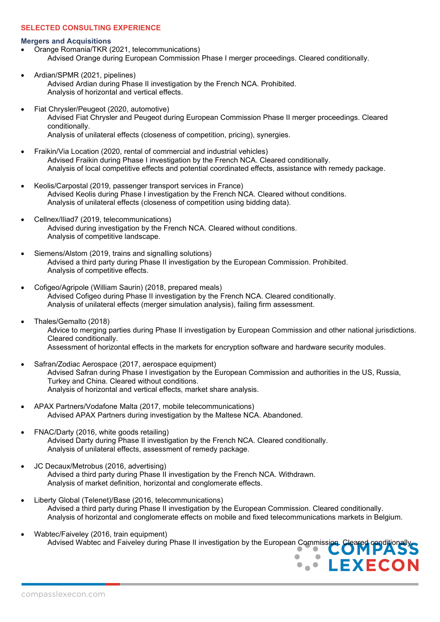## **SELECTED CONSULTING EXPERIENCE**

#### **Mergers and Acquisitions**

- Orange Romania/TKR (2021, telecommunications) Advised Orange during European Commission Phase I merger proceedings. Cleared conditionally.
- Ardian/SPMR (2021, pipelines) Advised Ardian during Phase II investigation by the French NCA. Prohibited. Analysis of horizontal and vertical effects.
- Fiat Chrysler/Peugeot (2020, automotive) Advised Fiat Chrysler and Peugeot during European Commission Phase II merger proceedings. Cleared conditionally. Analysis of unilateral effects (closeness of competition, pricing), synergies.
- Fraikin/Via Location (2020, rental of commercial and industrial vehicles) Advised Fraikin during Phase I investigation by the French NCA. Cleared conditionally. Analysis of local competitive effects and potential coordinated effects, assistance with remedy package.
- Keolis/Carpostal (2019, passenger transport services in France) Advised Keolis during Phase I investigation by the French NCA. Cleared without conditions. Analysis of unilateral effects (closeness of competition using bidding data).
- Cellnex/Iliad7 (2019, telecommunications) Advised during investigation by the French NCA. Cleared without conditions. Analysis of competitive landscape.
- Siemens/Alstom (2019, trains and signalling solutions) Advised a third party during Phase II investigation by the European Commission. Prohibited. Analysis of competitive effects.
- Cofigeo/Agripole (William Saurin) (2018, prepared meals) Advised Cofigeo during Phase II investigation by the French NCA. Cleared conditionally. Analysis of unilateral effects (merger simulation analysis), failing firm assessment.
- Thales/Gemalto (2018) Advice to merging parties during Phase II investigation by European Commission and other national jurisdictions. Cleared conditionally. Assessment of horizontal effects in the markets for encryption software and hardware security modules.
- Safran/Zodiac Aerospace (2017, aerospace equipment) Advised Safran during Phase I investigation by the European Commission and authorities in the US, Russia, Turkey and China. Cleared without conditions. Analysis of horizontal and vertical effects, market share analysis.
- APAX Partners/Vodafone Malta (2017, mobile telecommunications) Advised APAX Partners during investigation by the Maltese NCA. Abandoned.
- FNAC/Darty (2016, white goods retailing) Advised Darty during Phase II investigation by the French NCA. Cleared conditionally. Analysis of unilateral effects, assessment of remedy package.
- JC Decaux/Metrobus (2016, advertising) Advised a third party during Phase II investigation by the French NCA. Withdrawn. Analysis of market definition, horizontal and conglomerate effects.
- Liberty Global (Telenet)/Base (2016, telecommunications) Advised a third party during Phase II investigation by the European Commission. Cleared conditionally. Analysis of horizontal and conglomerate effects on mobile and fixed telecommunications markets in Belgium.
- Wabtec/Faiveley (2016, train equipment) Advised Wabtec and Faiveley during Phase II investigation by the European Commission. C

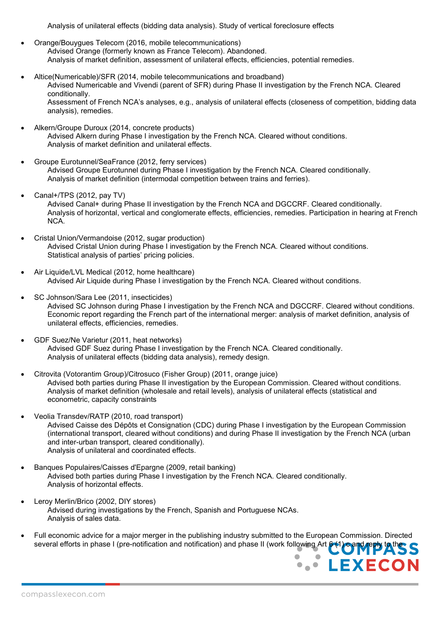Analysis of unilateral effects (bidding data analysis). Study of vertical foreclosure effects

- Orange/Bouygues Telecom (2016, mobile telecommunications) Advised Orange (formerly known as France Telecom). Abandoned. Analysis of market definition, assessment of unilateral effects, efficiencies, potential remedies.
- Altice(Numericable)/SFR (2014, mobile telecommunications and broadband) Advised Numericable and Vivendi (parent of SFR) during Phase II investigation by the French NCA. Cleared conditionally. Assessment of French NCA's analyses, e.g., analysis of unilateral effects (closeness of competition, bidding data analysis), remedies.
- Alkern/Groupe Duroux (2014, concrete products) Advised Alkern during Phase I investigation by the French NCA. Cleared without conditions. Analysis of market definition and unilateral effects.
- Groupe Eurotunnel/SeaFrance (2012, ferry services) Advised Groupe Eurotunnel during Phase I investigation by the French NCA. Cleared conditionally. Analysis of market definition (intermodal competition between trains and ferries).
- Canal+/TPS (2012, pay TV) Advised Canal+ during Phase II investigation by the French NCA and DGCCRF. Cleared conditionally. Analysis of horizontal, vertical and conglomerate effects, efficiencies, remedies. Participation in hearing at French NCA.
- Cristal Union/Vermandoise (2012, sugar production) Advised Cristal Union during Phase I investigation by the French NCA. Cleared without conditions. Statistical analysis of parties' pricing policies.
- Air Liquide/LVL Medical (2012, home healthcare) Advised Air Liquide during Phase I investigation by the French NCA. Cleared without conditions.
- SC Johnson/Sara Lee (2011, insecticides) Advised SC Johnson during Phase I investigation by the French NCA and DGCCRF. Cleared without conditions. Economic report regarding the French part of the international merger: analysis of market definition, analysis of unilateral effects, efficiencies, remedies.
- GDF Suez/Ne Varietur (2011, heat networks) Advised GDF Suez during Phase I investigation by the French NCA. Cleared conditionally. Analysis of unilateral effects (bidding data analysis), remedy design.
- Citrovita (Votorantim Group)/Citrosuco (Fisher Group) (2011, orange juice) Advised both parties during Phase II investigation by the European Commission. Cleared without conditions. Analysis of market definition (wholesale and retail levels), analysis of unilateral effects (statistical and econometric, capacity constraints
- Veolia Transdev/RATP (2010, road transport) Advised Caisse des Dépôts et Consignation (CDC) during Phase I investigation by the European Commission (international transport, cleared without conditions) and during Phase II investigation by the French NCA (urban and inter-urban transport, cleared conditionally). Analysis of unilateral and coordinated effects.
- Banques Populaires/Caisses d'Epargne (2009, retail banking) Advised both parties during Phase I investigation by the French NCA. Cleared conditionally. Analysis of horizontal effects.
- Leroy Merlin/Brico (2002, DIY stores) Advised during investigations by the French, Spanish and Portuguese NCAs. Analysis of sales data.
- Full economic advice for a major merger in the publishing industry submitted to the European Commission. Directed several efforts in phase I (pre-notification and notification) and phase II (work following Art 6 (1) c and reply to the

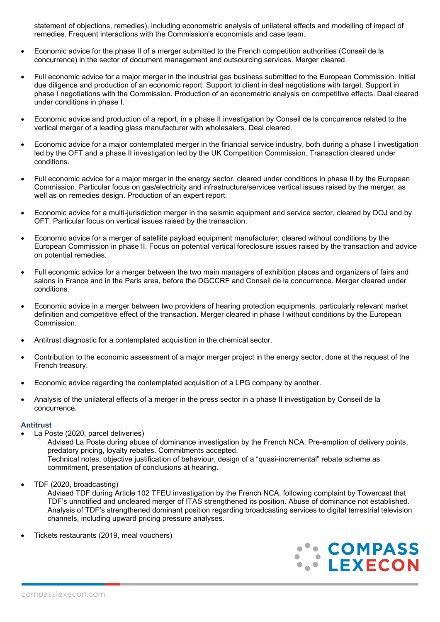statement of objections, remedies), including econometric analysis of unilateral effects and modelling of impact of remedies. Frequent interactions with the Commission's economists and case team.

- Economic advice for the phase II of a merger submitted to the French competition authorities (Conseil de la concurrence) in the sector of document management and outsourcing services. Merger cleared.
- Full economic advice for a major merger in the industrial gas business submitted to the European Commission. Initial due diligence and production of an economic report. Support to client in deal negotiations with target. Support in phase I negotiations with the Commission. Production of an econometric analysis on competitive effects. Deal cleared under conditions in phase I.
- Economic advice and production of a report, in a phase II investigation by Conseil de la concurrence related to the vertical merger of a leading glass manufacturer with wholesalers. Deal cleared.
- Economic advice for a major contemplated merger in the financial service industry, both during a phase I investigation led by the OFT and a phase II investigation led by the UK Competition Commission. Transaction cleared under conditions.
- Full economic advice for a maior merger in the energy sector, cleared under conditions in phase II by the European Commission. Particular focus on gas/electricity and infrastructure/services vertical issues raised by the merger, as well as on remedies design. Production of an expert report.
- Economic advice for a multi-jurisdiction merger in the seismic equipment and service sector, cleared by DOJ and by OFT. Particular focus on vertical issues raised by the transaction.
- Economic advice for a merger of satellite payload equipment manufacturer, cleared without conditions by the European Commission in phase II. Focus on potential vertical foreclosure issues raised by the transaction and advice on potential remedies.
- Full economic advice for a merger between the two main managers of exhibition places and organizers of fairs and salons in France and in the Paris area, before the DGCCRF and Conseil de la concurrence. Merger cleared under conditions.
- Economic advice in a merger between two providers of hearing protection equipments, particularly relevant market definition and competitive effect of the transaction. Merger cleared in phase I without conditions by the European Commission.
- Antitrust diagnostic for a contemplated acquisition in the chemical sector.
- Contribution to the economic assessment of a major merger project in the energy sector, done at the request of the French treasury.
- Economic advice regarding the contemplated acquisition of a LPG company by another.
- Analysis of the unilateral effects of a merger in the press sector in a phase II investigation by Conseil de la concurrence.

#### **Antitrust**

La Poste (2020, parcel deliveries)

Advised La Poste during abuse of dominance investigation by the French NCA. Pre-emption of delivery points, predatory pricing, loyalty rebates. Commitments accepted. Technical notes, objective justification of behaviour, design of a "quasi-incremental" rebate scheme as commitment, presentation of conclusions at hearing.

• TDF (2020, broadcasting)

Advised TDF during Article 102 TFEU investigation by the French NCA, following complaint by Towercast that TDF's unnotified and uncleared merger of ITAS strengthened its position. Abuse of dominance not established. Analysis of TDF's strengthened dominant position regarding broadcasting services to digital terrestrial television channels, including upward pricing pressure analyses.

• Tickets restaurants (2019, meal vouchers)

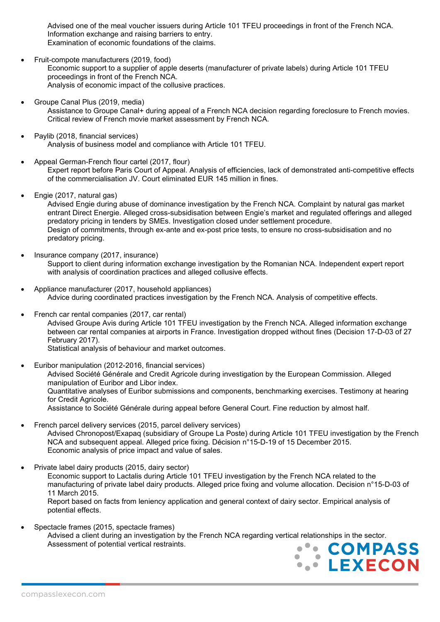Advised one of the meal voucher issuers during Article 101 TFEU proceedings in front of the French NCA. Information exchange and raising barriers to entry. Examination of economic foundations of the claims.

- Fruit-compote manufacturers (2019, food) Economic support to a supplier of apple deserts (manufacturer of private labels) during Article 101 TFEU proceedings in front of the French NCA. Analysis of economic impact of the collusive practices.
- Groupe Canal Plus (2019, media) Assistance to Groupe Canal+ during appeal of a French NCA decision regarding foreclosure to French movies. Critical review of French movie market assessment by French NCA.
- Paylib (2018, financial services) Analysis of business model and compliance with Article 101 TFEU.
- Appeal German-French flour cartel (2017, flour) Expert report before Paris Court of Appeal. Analysis of efficiencies, lack of demonstrated anti-competitive effects of the commercialisation JV. Court eliminated EUR 145 million in fines.
- Engie (2017, natural gas)

Advised Engie during abuse of dominance investigation by the French NCA. Complaint by natural gas market entrant Direct Energie. Alleged cross-subsidisation between Engie's market and regulated offerings and alleged predatory pricing in tenders by SMEs. Investigation closed under settlement procedure. Design of commitments, through ex-ante and ex-post price tests, to ensure no cross-subsidisation and no predatory pricing.

- Insurance company (2017, insurance) Support to client during information exchange investigation by the Romanian NCA. Independent expert report with analysis of coordination practices and alleged collusive effects.
- Appliance manufacturer (2017, household appliances) Advice during coordinated practices investigation by the French NCA. Analysis of competitive effects.
- French car rental companies (2017, car rental) Advised Groupe Avis during Article 101 TFEU investigation by the French NCA. Alleged information exchange between car rental companies at airports in France. Investigation dropped without fines (Decision 17-D-03 of 27 February 2017). Statistical analysis of behaviour and market outcomes.
- Euribor manipulation (2012-2016, financial services) Advised Société Générale and Credit Agricole during investigation by the European Commission. Alleged manipulation of Euribor and Libor index. Quantitative analyses of Euribor submissions and components, benchmarking exercises. Testimony at hearing for Credit Agricole.

Assistance to Société Générale during appeal before General Court. Fine reduction by almost half.

- French parcel delivery services (2015, parcel delivery services) Advised Chronopost/Exapaq (subsidiary of Groupe La Poste) during Article 101 TFEU investigation by the French NCA and subsequent appeal. Alleged price fixing. Décision n°15-D-19 of 15 December 2015. Economic analysis of price impact and value of sales.
- Private label dairy products (2015, dairy sector)

Economic support to Lactalis during Article 101 TFEU investigation by the French NCA related to the manufacturing of private label dairy products. Alleged price fixing and volume allocation. Decision n°15-D-03 of 11 March 2015. Report based on facts from leniency application and general context of dairy sector. Empirical analysis of

potential effects.

• Spectacle frames (2015, spectacle frames) Advised a client during an investigation by the French NCA regarding vertical relationships in the sector. Assessment of potential vertical restraints.

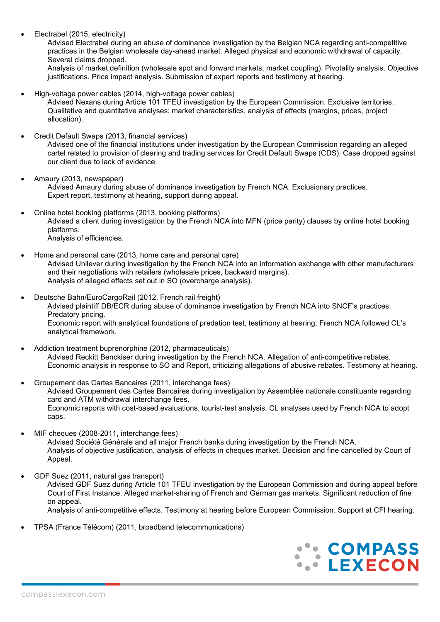• Electrabel (2015, electricity)

Advised Electrabel during an abuse of dominance investigation by the Belgian NCA regarding anti-competitive practices in the Belgian wholesale day-ahead market. Alleged physical and economic withdrawal of capacity. Several claims dropped.

Analysis of market definition (wholesale spot and forward markets, market coupling). Pivotality analysis. Objective justifications. Price impact analysis. Submission of expert reports and testimony at hearing.

• High-voltage power cables (2014, high-voltage power cables)

Advised Nexans during Article 101 TFEU investigation by the European Commission. Exclusive territories. Qualitative and quantitative analyses: market characteristics, analysis of effects (margins, prices, project allocation).

• Credit Default Swaps (2013, financial services)

Advised one of the financial institutions under investigation by the European Commission regarding an alleged cartel related to provision of clearing and trading services for Credit Default Swaps (CDS). Case dropped against our client due to lack of evidence.

- Amaury (2013, newspaper) Advised Amaury during abuse of dominance investigation by French NCA. Exclusionary practices. Expert report, testimony at hearing, support during appeal.
- Online hotel booking platforms (2013, booking platforms) Advised a client during investigation by the French NCA into MFN (price parity) clauses by online hotel booking platforms. Analysis of efficiencies.
- Home and personal care (2013, home care and personal care) Advised Unilever during investigation by the French NCA into an information exchange with other manufacturers and their negotiations with retailers (wholesale prices, backward margins). Analysis of alleged effects set out in SO (overcharge analysis).
- Deutsche Bahn/EuroCargoRail (2012, French rail freight) Advised plaintiff DB/ECR during abuse of dominance investigation by French NCA into SNCF's practices. Predatory pricing. Economic report with analytical foundations of predation test, testimony at hearing. French NCA followed CL's analytical framework.
- Addiction treatment buprenorphine (2012, pharmaceuticals) Advised Reckitt Benckiser during investigation by the French NCA. Allegation of anti-competitive rebates. Economic analysis in response to SO and Report, criticizing allegations of abusive rebates. Testimony at hearing.
- Groupement des Cartes Bancaires (2011, interchange fees) Advised Groupement des Cartes Bancaires during investigation by Assemblée nationale constituante regarding card and ATM withdrawal interchange fees. Economic reports with cost-based evaluations, tourist-test analysis. CL analyses used by French NCA to adopt caps.
- MIF cheques (2008-2011, interchange fees) Advised Société Générale and all major French banks during investigation by the French NCA. Analysis of objective justification, analysis of effects in cheques market. Decision and fine cancelled by Court of Appeal.
- GDF Suez (2011, natural gas transport) Advised GDF Suez during Article 101 TFEU investigation by the European Commission and during appeal before Court of First Instance. Alleged market-sharing of French and German gas markets. Significant reduction of fine on appeal. Analysis of anti-competitive effects. Testimony at hearing before European Commission. Support at CFI hearing.
- TPSA (France Télécom) (2011, broadband telecommunications)

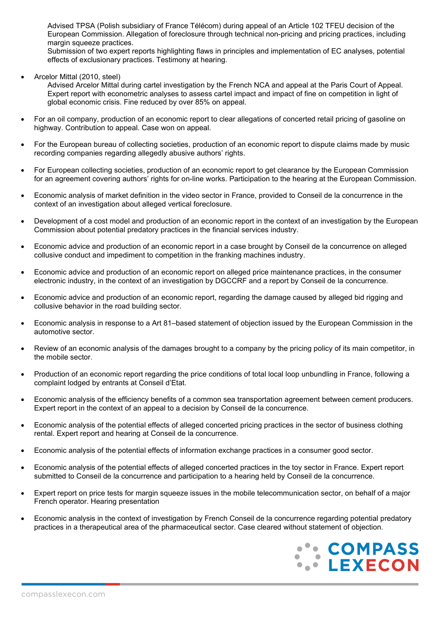Advised TPSA (Polish subsidiary of France Télécom) during appeal of an Article 102 TFEU decision of the European Commission. Allegation of foreclosure through technical non-pricing and pricing practices, including margin squeeze practices.

Submission of two expert reports highlighting flaws in principles and implementation of EC analyses, potential effects of exclusionary practices. Testimony at hearing.

• Arcelor Mittal (2010, steel)

Advised Arcelor Mittal during cartel investigation by the French NCA and appeal at the Paris Court of Appeal. Expert report with econometric analyses to assess cartel impact and impact of fine on competition in light of global economic crisis. Fine reduced by over 85% on appeal.

- For an oil company, production of an economic report to clear allegations of concerted retail pricing of gasoline on highway. Contribution to appeal. Case won on appeal.
- For the European bureau of collecting societies, production of an economic report to dispute claims made by music recording companies regarding allegedly abusive authors' rights.
- For European collecting societies, production of an economic report to get clearance by the European Commission for an agreement covering authors' rights for on-line works. Participation to the hearing at the European Commission.
- Economic analysis of market definition in the video sector in France, provided to Conseil de la concurrence in the context of an investigation about alleged vertical foreclosure.
- Development of a cost model and production of an economic report in the context of an investigation by the European Commission about potential predatory practices in the financial services industry.
- Economic advice and production of an economic report in a case brought by Conseil de la concurrence on alleged collusive conduct and impediment to competition in the franking machines industry.
- Economic advice and production of an economic report on alleged price maintenance practices, in the consumer electronic industry, in the context of an investigation by DGCCRF and a report by Conseil de la concurrence.
- Economic advice and production of an economic report, regarding the damage caused by alleged bid rigging and collusive behavior in the road building sector.
- Economic analysis in response to a Art 81–based statement of objection issued by the European Commission in the automotive sector.
- Review of an economic analysis of the damages brought to a company by the pricing policy of its main competitor, in the mobile sector.
- Production of an economic report regarding the price conditions of total local loop unbundling in France, following a complaint lodged by entrants at Conseil d'Etat.
- Economic analysis of the efficiency benefits of a common sea transportation agreement between cement producers. Expert report in the context of an appeal to a decision by Conseil de la concurrence.
- Economic analysis of the potential effects of alleged concerted pricing practices in the sector of business clothing rental. Expert report and hearing at Conseil de la concurrence.
- Economic analysis of the potential effects of information exchange practices in a consumer good sector.
- Economic analysis of the potential effects of alleged concerted practices in the toy sector in France. Expert report submitted to Conseil de la concurrence and participation to a hearing held by Conseil de la concurrence.
- Expert report on price tests for margin squeeze issues in the mobile telecommunication sector, on behalf of a major French operator. Hearing presentation
- Economic analysis in the context of investigation by French Conseil de la concurrence regarding potential predatory practices in a therapeutical area of the pharmaceutical sector. Case cleared without statement of objection.

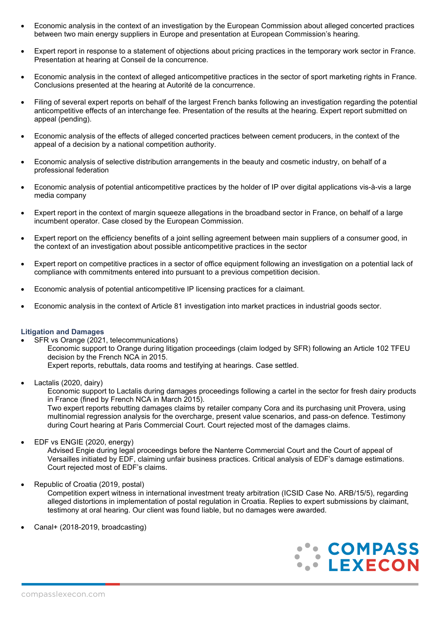- Economic analysis in the context of an investigation by the European Commission about alleged concerted practices between two main energy suppliers in Europe and presentation at European Commission's hearing.
- Expert report in response to a statement of objections about pricing practices in the temporary work sector in France. Presentation at hearing at Conseil de la concurrence.
- Economic analysis in the context of alleged anticompetitive practices in the sector of sport marketing rights in France. Conclusions presented at the hearing at Autorité de la concurrence.
- Filing of several expert reports on behalf of the largest French banks following an investigation regarding the potential anticompetitive effects of an interchange fee. Presentation of the results at the hearing. Expert report submitted on appeal (pending).
- Economic analysis of the effects of alleged concerted practices between cement producers, in the context of the appeal of a decision by a national competition authority.
- Economic analysis of selective distribution arrangements in the beauty and cosmetic industry, on behalf of a professional federation
- Economic analysis of potential anticompetitive practices by the holder of IP over digital applications vis-à-vis a large media company
- Expert report in the context of margin squeeze allegations in the broadband sector in France, on behalf of a large incumbent operator. Case closed by the European Commission.
- Expert report on the efficiency benefits of a joint selling agreement between main suppliers of a consumer good, in the context of an investigation about possible anticompetitive practices in the sector
- Expert report on competitive practices in a sector of office equipment following an investigation on a potential lack of compliance with commitments entered into pursuant to a previous competition decision.
- Economic analysis of potential anticompetitive IP licensing practices for a claimant.
- Economic analysis in the context of Article 81 investigation into market practices in industrial goods sector.

#### **Litigation and Damages**

- SFR vs Orange (2021, telecommunications) Economic support to Orange during litigation proceedings (claim lodged by SFR) following an Article 102 TFEU decision by the French NCA in 2015. Expert reports, rebuttals, data rooms and testifying at hearings. Case settled.
- Lactalis (2020, dairy)

Economic support to Lactalis during damages proceedings following a cartel in the sector for fresh dairy products in France (fined by French NCA in March 2015).

Two expert reports rebutting damages claims by retailer company Cora and its purchasing unit Provera, using multinomial regression analysis for the overcharge, present value scenarios, and pass-on defence. Testimony during Court hearing at Paris Commercial Court. Court rejected most of the damages claims.

• EDF vs ENGIE (2020, energy)

Advised Engie during legal proceedings before the Nanterre Commercial Court and the Court of appeal of Versailles initiated by EDF, claiming unfair business practices. Critical analysis of EDF's damage estimations. Court rejected most of EDF's claims.

• Republic of Croatia (2019, postal)

Competition expert witness in international investment treaty arbitration (ICSID Case No. ARB/15/5), regarding alleged distortions in implementation of postal regulation in Croatia. Replies to expert submissions by claimant, testimony at oral hearing. Our client was found liable, but no damages were awarded.

• Canal+ (2018-2019, broadcasting)

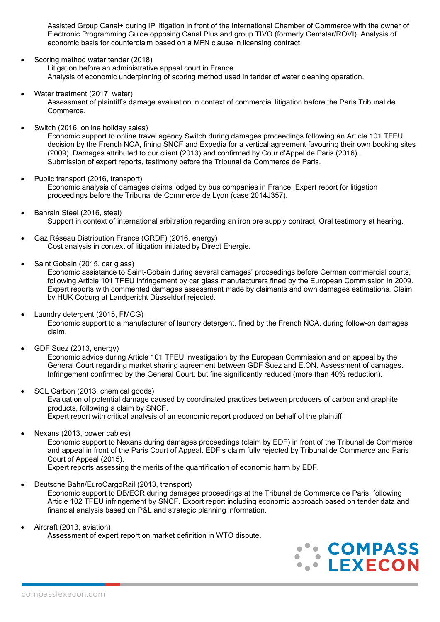Assisted Group Canal+ during IP litigation in front of the International Chamber of Commerce with the owner of Electronic Programming Guide opposing Canal Plus and group TIVO (formerly Gemstar/ROVI). Analysis of economic basis for counterclaim based on a MFN clause in licensing contract.

Scoring method water tender (2018)

Litigation before an administrative appeal court in France. Analysis of economic underpinning of scoring method used in tender of water cleaning operation.

Water treatment (2017, water)

Assessment of plaintiff's damage evaluation in context of commercial litigation before the Paris Tribunal de Commerce.

Switch (2016, online holiday sales)

Economic support to online travel agency Switch during damages proceedings following an Article 101 TFEU decision by the French NCA, fining SNCF and Expedia for a vertical agreement favouring their own booking sites (2009). Damages attributed to our client (2013) and confirmed by Cour d'Appel de Paris (2016). Submission of expert reports, testimony before the Tribunal de Commerce de Paris.

• Public transport (2016, transport)

Economic analysis of damages claims lodged by bus companies in France. Expert report for litigation proceedings before the Tribunal de Commerce de Lyon (case 2014J357).

- Bahrain Steel (2016, steel) Support in context of international arbitration regarding an iron ore supply contract. Oral testimony at hearing.
- Gaz Réseau Distribution France (GRDF) (2016, energy) Cost analysis in context of litigation initiated by Direct Energie.
- Saint Gobain (2015, car glass)

Economic assistance to Saint-Gobain during several damages' proceedings before German commercial courts, following Article 101 TFEU infringement by car glass manufacturers fined by the European Commission in 2009. Expert reports with commented damages assessment made by claimants and own damages estimations. Claim by HUK Coburg at Landgericht Düsseldorf rejected.

- Laundry detergent (2015, FMCG) Economic support to a manufacturer of laundry detergent, fined by the French NCA, during follow-on damages claim.
- GDF Suez (2013, energy)

Economic advice during Article 101 TFEU investigation by the European Commission and on appeal by the General Court regarding market sharing agreement between GDF Suez and E.ON. Assessment of damages. Infringement confirmed by the General Court, but fine significantly reduced (more than 40% reduction).

- SGL Carbon (2013, chemical goods) Evaluation of potential damage caused by coordinated practices between producers of carbon and graphite products, following a claim by SNCF. Expert report with critical analysis of an economic report produced on behalf of the plaintiff.
- Nexans (2013, power cables)

Economic support to Nexans during damages proceedings (claim by EDF) in front of the Tribunal de Commerce and appeal in front of the Paris Court of Appeal. EDF's claim fully rejected by Tribunal de Commerce and Paris Court of Appeal (2015).

Expert reports assessing the merits of the quantification of economic harm by EDF.

• Deutsche Bahn/EuroCargoRail (2013, transport)

Economic support to DB/ECR during damages proceedings at the Tribunal de Commerce de Paris, following Article 102 TFEU infringement by SNCF. Export report including economic approach based on tender data and financial analysis based on P&L and strategic planning information.

• Aircraft (2013, aviation)

Assessment of expert report on market definition in WTO dispute.

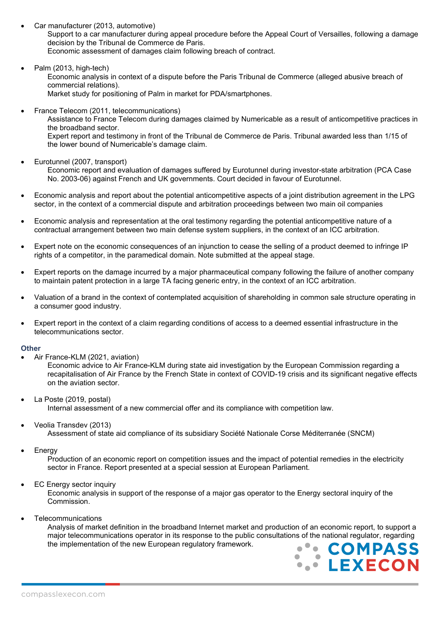• Car manufacturer (2013, automotive)

Support to a car manufacturer during appeal procedure before the Appeal Court of Versailles, following a damage decision by the Tribunal de Commerce de Paris. Economic assessment of damages claim following breach of contract.

- Palm (2013, high-tech) Economic analysis in context of a dispute before the Paris Tribunal de Commerce (alleged abusive breach of commercial relations). Market study for positioning of Palm in market for PDA/smartphones.
- France Telecom (2011, telecommunications) Assistance to France Telecom during damages claimed by Numericable as a result of anticompetitive practices in the broadband sector. Expert report and testimony in front of the Tribunal de Commerce de Paris. Tribunal awarded less than 1/15 of the lower bound of Numericable's damage claim.
	- Eurotunnel (2007, transport) Economic report and evaluation of damages suffered by Eurotunnel during investor-state arbitration (PCA Case No. 2003-06) against French and UK governments. Court decided in favour of Eurotunnel.
- Economic analysis and report about the potential anticompetitive aspects of a joint distribution agreement in the LPG sector, in the context of a commercial dispute and arbitration proceedings between two main oil companies
- Economic analysis and representation at the oral testimony regarding the potential anticompetitive nature of a contractual arrangement between two main defense system suppliers, in the context of an ICC arbitration.
- Expert note on the economic consequences of an injunction to cease the selling of a product deemed to infringe IP rights of a competitor, in the paramedical domain. Note submitted at the appeal stage.
- Expert reports on the damage incurred by a major pharmaceutical company following the failure of another company to maintain patent protection in a large TA facing generic entry, in the context of an ICC arbitration.
- Valuation of a brand in the context of contemplated acquisition of shareholding in common sale structure operating in a consumer good industry.
- Expert report in the context of a claim regarding conditions of access to a deemed essential infrastructure in the telecommunications sector.

## **Other**

• Air France-KLM (2021, aviation)

Economic advice to Air France-KLM during state aid investigation by the European Commission regarding a recapitalisation of Air France by the French State in context of COVID-19 crisis and its significant negative effects on the aviation sector.

- La Poste (2019, postal) Internal assessment of a new commercial offer and its compliance with competition law.
- Veolia Transdev (2013)

Assessment of state aid compliance of its subsidiary Société Nationale Corse Méditerranée (SNCM)

**Energy** 

Production of an economic report on competition issues and the impact of potential remedies in the electricity sector in France. Report presented at a special session at European Parliament.

**EC Energy sector inquiry** 

Economic analysis in support of the response of a major gas operator to the Energy sectoral inquiry of the Commission.

**Telecommunications** 

Analysis of market definition in the broadband Internet market and production of an economic report, to support a major telecommunications operator in its response to the public consultations of the national regulator, regarding the implementation of the new European regulatory framework.

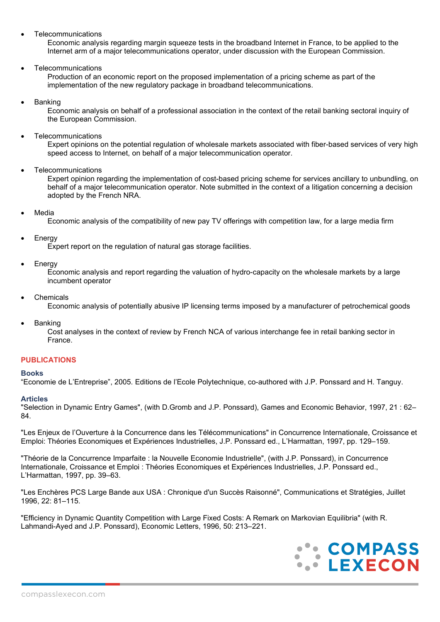**Telecommunications** 

Economic analysis regarding margin squeeze tests in the broadband Internet in France, to be applied to the Internet arm of a major telecommunications operator, under discussion with the European Commission.

**Telecommunications** 

Production of an economic report on the proposed implementation of a pricing scheme as part of the implementation of the new regulatory package in broadband telecommunications.

**Banking** 

Economic analysis on behalf of a professional association in the context of the retail banking sectoral inquiry of the European Commission.

**Telecommunications** 

Expert opinions on the potential regulation of wholesale markets associated with fiber-based services of very high speed access to Internet, on behalf of a major telecommunication operator.

**Telecommunications** 

Expert opinion regarding the implementation of cost-based pricing scheme for services ancillary to unbundling, on behalf of a major telecommunication operator. Note submitted in the context of a litigation concerning a decision adopted by the French NRA.

**Media** 

Economic analysis of the compatibility of new pay TV offerings with competition law, for a large media firm

**Energy** 

Expert report on the regulation of natural gas storage facilities.

**Energy** 

Economic analysis and report regarding the valuation of hydro-capacity on the wholesale markets by a large incumbent operator

**Chemicals** 

Economic analysis of potentially abusive IP licensing terms imposed by a manufacturer of petrochemical goods

**Banking** 

Cost analyses in the context of review by French NCA of various interchange fee in retail banking sector in France.

## **PUBLICATIONS**

#### **Books**

"Economie de L'Entreprise", 2005. Editions de l'Ecole Polytechnique, co-authored with J.P. Ponssard and H. Tanguy.

#### **Articles**

"Selection in Dynamic Entry Games", (with D.Gromb and J.P. Ponssard), Games and Economic Behavior, 1997, 21 : 62– 84.

"Les Enjeux de l'Ouverture à la Concurrence dans les Télécommunications" in Concurrence Internationale, Croissance et Emploi: Théories Economiques et Expériences Industrielles, J.P. Ponssard ed., L'Harmattan, 1997, pp. 129–159.

"Théorie de la Concurrence Imparfaite : la Nouvelle Economie Industrielle", (with J.P. Ponssard), in Concurrence Internationale, Croissance et Emploi : Théories Economiques et Expériences Industrielles, J.P. Ponssard ed., L'Harmattan, 1997, pp. 39–63.

"Les Enchères PCS Large Bande aux USA : Chronique d'un Succès Raisonné", Communications et Stratégies, Juillet 1996, 22: 81–115.

"Efficiency in Dynamic Quantity Competition with Large Fixed Costs: A Remark on Markovian Equilibria" (with R. Lahmandi-Ayed and J.P. Ponssard), Economic Letters, 1996, 50: 213–221.

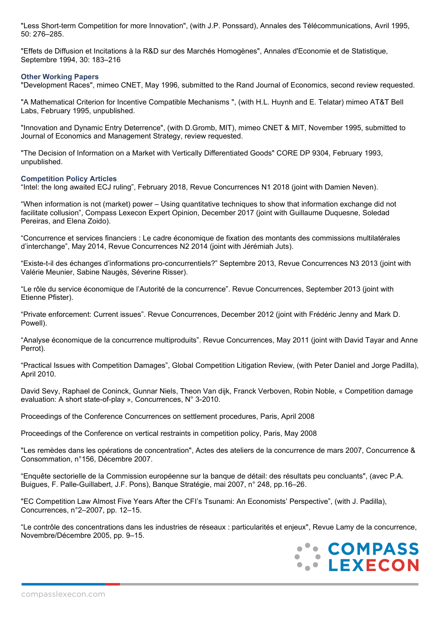"Less Short-term Competition for more Innovation", (with J.P. Ponssard), Annales des Télécommunications, Avril 1995, 50: 276–285.

"Effets de Diffusion et Incitations à la R&D sur des Marchés Homogènes", Annales d'Economie et de Statistique, Septembre 1994, 30: 183–216

#### **Other Working Papers**

"Development Races", mimeo CNET, May 1996, submitted to the Rand Journal of Economics, second review requested.

"A Mathematical Criterion for Incentive Compatible Mechanisms ", (with H.L. Huynh and E. Telatar) mimeo AT&T Bell Labs, February 1995, unpublished.

"Innovation and Dynamic Entry Deterrence", (with D.Gromb, MIT), mimeo CNET & MIT, November 1995, submitted to Journal of Economics and Management Strategy, review requested.

"The Decision of Information on a Market with Vertically Differentiated Goods" CORE DP 9304, February 1993, unpublished.

## **Competition Policy Articles**

"Intel: the long awaited ECJ ruling", February 2018, Revue Concurrences N1 2018 (joint with Damien Neven).

"When information is not (market) power – Using quantitative techniques to show that information exchange did not facilitate collusion", Compass Lexecon Expert Opinion, December 2017 (joint with Guillaume Duquesne, Soledad Pereiras, and Elena Zoido).

"Concurrence et services financiers : Le cadre économique de fixation des montants des commissions multilatérales d'interchange", May 2014, Revue Concurrences N2 2014 (joint with Jérémiah Juts).

"Existe-t-il des échanges d'informations pro-concurrentiels?" Septembre 2013, Revue Concurrences N3 2013 (joint with Valérie Meunier, Sabine Naugès, Séverine Risser).

"Le rôle du service économique de l'Autorité de la concurrence". Revue Concurrences, September 2013 (joint with Etienne Pfister).

"Private enforcement: Current issues". Revue Concurrences, December 2012 (joint with Frédéric Jenny and Mark D. Powell).

"Analyse économique de la concurrence multiproduits". Revue Concurrences, May 2011 (joint with David Tayar and Anne Perrot).

"Practical Issues with Competition Damages", Global Competition Litigation Review, (with Peter Daniel and Jorge Padilla), April 2010.

David Sevy, Raphael de Coninck, Gunnar Niels, Theon Van dijk, Franck Verboven, Robin Noble, « Competition damage evaluation: A short state-of-play », Concurrences, N° 3-2010.

Proceedings of the Conference Concurrences on settlement procedures, Paris, April 2008

Proceedings of the Conference on vertical restraints in competition policy, Paris, May 2008

"Les remèdes dans les opérations de concentration", Actes des ateliers de la concurrence de mars 2007, Concurrence & Consommation, n°156, Décembre 2007.

"Enquête sectorielle de la Commission européenne sur la banque de détail: des résultats peu concluants", (avec P.A. Buigues, F. Palle-Guillabert, J.F. Pons), Banque Stratégie, mai 2007, n° 248, pp.16–26.

"EC Competition Law Almost Five Years After the CFI's Tsunami: An Economists' Perspective", (with J. Padilla), Concurrences, n°2–2007, pp. 12–15.

"Le contrôle des concentrations dans les industries de réseaux : particularités et enjeux", Revue Lamy de la concurrence, Novembre/Décembre 2005, pp. 9–15.